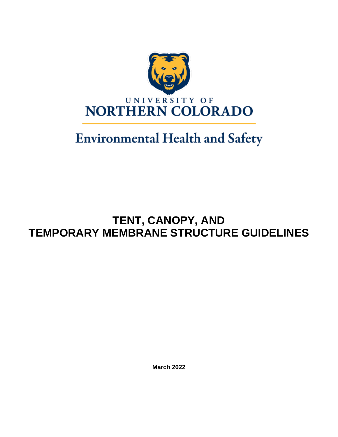

# **Environmental Health and Safety**

# **TENT, CANOPY, AND TEMPORARY MEMBRANE STRUCTURE GUIDELINES**

**March 2022**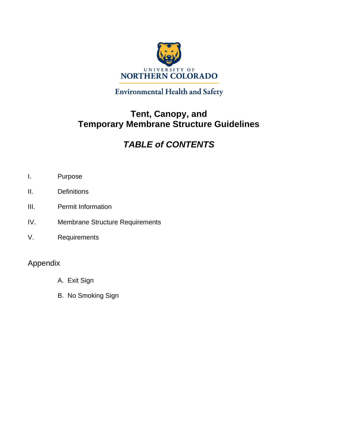

**Environmental Health and Safety** 

### **Tent, Canopy, and Temporary Membrane Structure Guidelines**

## *TABLE of CONTENTS*

- I. Purpose
- II. Definitions
- III. Permit Information
- IV. Membrane Structure Requirements
- V. Requirements

### Appendix

- A. Exit Sign
- B. No Smoking Sign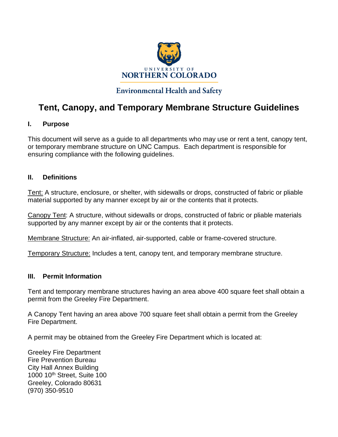

### **Environmental Health and Safety**

### **Tent, Canopy, and Temporary Membrane Structure Guidelines**

### **I. Purpose**

This document will serve as a guide to all departments who may use or rent a tent, canopy tent, or temporary membrane structure on UNC Campus. Each department is responsible for ensuring compliance with the following guidelines.

### **II. Definitions**

Tent: A structure, enclosure, or shelter, with sidewalls or drops, constructed of fabric or pliable material supported by any manner except by air or the contents that it protects.

Canopy Tent: A structure, without sidewalls or drops, constructed of fabric or pliable materials supported by any manner except by air or the contents that it protects.

Membrane Structure: An air-inflated, air-supported, cable or frame-covered structure.

Temporary Structure: Includes a tent, canopy tent, and temporary membrane structure.

#### **III. Permit Information**

Tent and temporary membrane structures having an area above 400 square feet shall obtain a permit from the Greeley Fire Department.

A Canopy Tent having an area above 700 square feet shall obtain a permit from the Greeley Fire Department.

A permit may be obtained from the Greeley Fire Department which is located at:

Greeley Fire Department Fire Prevention Bureau City Hall Annex Building 1000 10th Street, Suite 100 Greeley, Colorado 80631 (970) 350-9510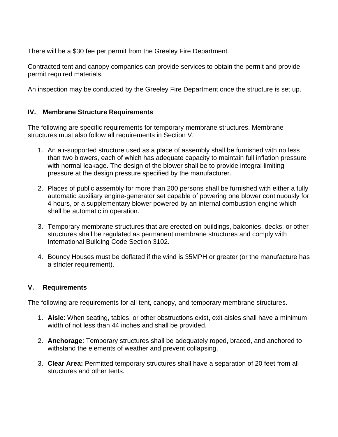There will be a \$30 fee per permit from the Greeley Fire Department.

Contracted tent and canopy companies can provide services to obtain the permit and provide permit required materials.

An inspection may be conducted by the Greeley Fire Department once the structure is set up.

### **IV. Membrane Structure Requirements**

The following are specific requirements for temporary membrane structures. Membrane structures must also follow all requirements in Section V.

- 1. An air-supported structure used as a place of assembly shall be furnished with no less than two blowers, each of which has adequate capacity to maintain full inflation pressure with normal leakage. The design of the blower shall be to provide integral limiting pressure at the design pressure specified by the manufacturer.
- 2. Places of public assembly for more than 200 persons shall be furnished with either a fully automatic auxiliary engine-generator set capable of powering one blower continuously for 4 hours, or a supplementary blower powered by an internal combustion engine which shall be automatic in operation.
- 3. Temporary membrane structures that are erected on buildings, balconies, decks, or other structures shall be regulated as permanent membrane structures and comply with International Building Code Section 3102.
- 4. Bouncy Houses must be deflated if the wind is 35MPH or greater (or the manufacture has a stricter requirement).

#### **V. Requirements**

The following are requirements for all tent, canopy, and temporary membrane structures.

- 1. **Aisle**: When seating, tables, or other obstructions exist, exit aisles shall have a minimum width of not less than 44 inches and shall be provided.
- 2. **Anchorage**: Temporary structures shall be adequately roped, braced, and anchored to withstand the elements of weather and prevent collapsing.
- 3. **Clear Area:** Permitted temporary structures shall have a separation of 20 feet from all structures and other tents.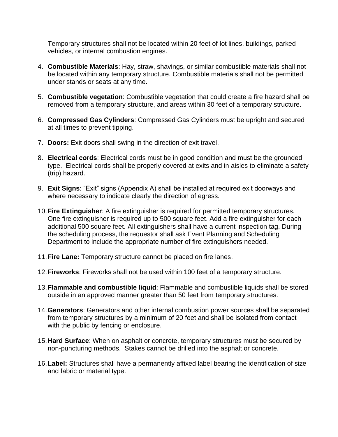Temporary structures shall not be located within 20 feet of lot lines, buildings, parked vehicles, or internal combustion engines.

- 4. **Combustible Materials**: Hay, straw, shavings, or similar combustible materials shall not be located within any temporary structure. Combustible materials shall not be permitted under stands or seats at any time.
- 5. **Combustible vegetation**: Combustible vegetation that could create a fire hazard shall be removed from a temporary structure, and areas within 30 feet of a temporary structure.
- 6. **Compressed Gas Cylinders**: Compressed Gas Cylinders must be upright and secured at all times to prevent tipping.
- 7. **Doors:** Exit doors shall swing in the direction of exit travel.
- 8. **Electrical cords**: Electrical cords must be in good condition and must be the grounded type. Electrical cords shall be properly covered at exits and in aisles to eliminate a safety (trip) hazard.
- 9. **Exit Signs**: "Exit" signs (Appendix A) shall be installed at required exit doorways and where necessary to indicate clearly the direction of egress.
- 10.**Fire Extinguisher**: A fire extinguisher is required for permitted temporary structures. One fire extinguisher is required up to 500 square feet. Add a fire extinguisher for each additional 500 square feet. All extinguishers shall have a current inspection tag. During the scheduling process, the requestor shall ask Event Planning and Scheduling Department to include the appropriate number of fire extinguishers needed.
- 11.**Fire Lane:** Temporary structure cannot be placed on fire lanes.
- 12.**Fireworks**: Fireworks shall not be used within 100 feet of a temporary structure.
- 13.**Flammable and combustible liquid**: Flammable and combustible liquids shall be stored outside in an approved manner greater than 50 feet from temporary structures.
- 14.**Generators**: Generators and other internal combustion power sources shall be separated from temporary structures by a minimum of 20 feet and shall be isolated from contact with the public by fencing or enclosure.
- 15.**Hard Surface**: When on asphalt or concrete, temporary structures must be secured by non-puncturing methods. Stakes cannot be drilled into the asphalt or concrete.
- 16.**Label:** Structures shall have a permanently affixed label bearing the identification of size and fabric or material type.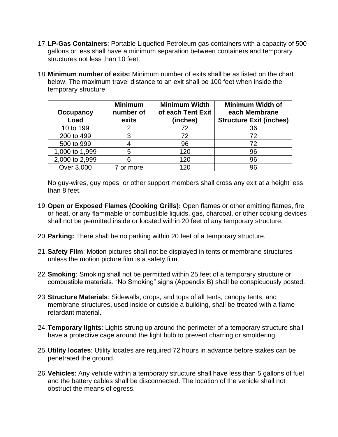- 17.**LP-Gas Containers**: Portable Liquefied Petroleum gas containers with a capacity of 500 gallons or less shall have a minimum separation between containers and temporary structures not less than 10 feet.
- 18.**Minimum number of exits:** Minimum number of exits shall be as listed on the chart below. The maximum travel distance to an exit shall be 100 feet when inside the temporary structure.

| <b>Occupancy</b><br>Load | <b>Minimum</b><br>number of<br>exits | <b>Minimum Width</b><br>of each Tent Exit<br>(inches) | <b>Minimum Width of</b><br>each Membrane<br><b>Structure Exit (inches)</b> |
|--------------------------|--------------------------------------|-------------------------------------------------------|----------------------------------------------------------------------------|
| 10 to 199                |                                      | 72                                                    | 36                                                                         |
| 200 to 499               | 3                                    | 72                                                    | 72                                                                         |
| 500 to 999               |                                      | 96                                                    | 72                                                                         |
| 1,000 to 1,999           | 5                                    | 120                                                   | 96                                                                         |
| 2,000 to 2,999           |                                      | 120                                                   | 96                                                                         |
| Over 3,000               | or more                              | 120                                                   | 96                                                                         |

No guy-wires, guy ropes, or other support members shall cross any exit at a height less than 8 feet.

- 19.**Open or Exposed Flames (Cooking Grills):** Open flames or other emitting flames, fire or heat, or any flammable or combustible liquids, gas, charcoal, or other cooking devices shall not be permitted inside or located within 20 feet of any temporary structure.
- 20.**Parking:** There shall be no parking within 20 feet of a temporary structure.
- 21.**Safety Film**: Motion pictures shall not be displayed in tents or membrane structures unless the motion picture film is a safety film.
- 22.**Smoking**: Smoking shall not be permitted within 25 feet of a temporary structure or combustible materials. "No Smoking" signs (Appendix B) shall be conspicuously posted.
- 23.**Structure Materials**: Sidewalls, drops, and tops of all tents, canopy tents, and membrane structures, used inside or outside a building, shall be treated with a flame retardant material.
- 24.**Temporary lights**: Lights strung up around the perimeter of a temporary structure shall have a protective cage around the light bulb to prevent charring or smoldering.
- 25.**Utility locates**: Utility locates are required 72 hours in advance before stakes can be penetrated the ground.
- 26.**Vehicles**: Any vehicle within a temporary structure shall have less than 5 gallons of fuel and the battery cables shall be disconnected. The location of the vehicle shall not obstruct the means of egress.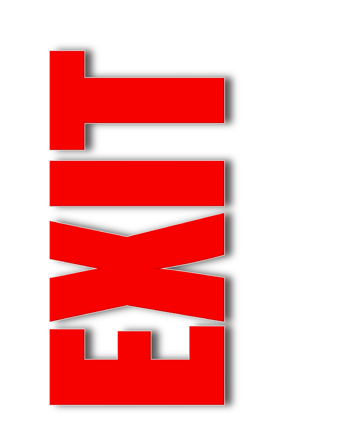